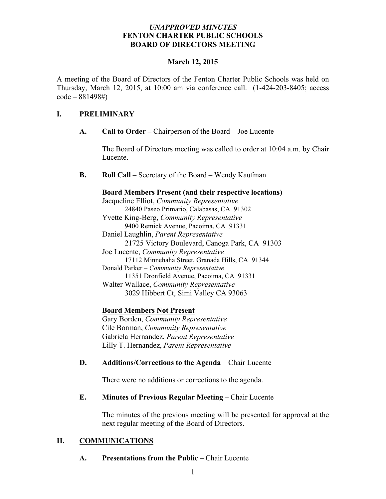## *UNAPPROVED MINUTES* **FENTON CHARTER PUBLIC SCHOOLS BOARD OF DIRECTORS MEETING**

#### **March 12, 2015**

A meeting of the Board of Directors of the Fenton Charter Public Schools was held on Thursday, March 12, 2015, at 10:00 am via conference call. (1-424-203-8405; access code – 881498#)

# **I. PRELIMINARY**

**A. Call to Order –** Chairperson of the Board – Joe Lucente

The Board of Directors meeting was called to order at 10:04 a.m. by Chair Lucente.

**B. Roll Call** – Secretary of the Board – Wendy Kaufman

## **Board Members Present (and their respective locations)**

Jacqueline Elliot, *Community Representative* 24840 Paseo Primario, Calabasas, CA 91302 Yvette King-Berg, *Community Representative* 9400 Remick Avenue, Pacoima, CA 91331 Daniel Laughlin, *Parent Representative* 21725 Victory Boulevard, Canoga Park, CA 91303 Joe Lucente, *Community Representative* 17112 Minnehaha Street, Granada Hills, CA 91344 Donald Parker – *Community Representative* 11351 Dronfield Avenue, Pacoima, CA 91331 Walter Wallace, *Community Representative* 3029 Hibbert Ct, Simi Valley CA 93063

# **Board Members Not Present**

Gary Borden, *Community Representative* Cile Borman, *Community Representative* Gabriela Hernandez, *Parent Representative* Lilly T. Hernandez, *Parent Representative*

# **D. Additions/Corrections to the Agenda** – Chair Lucente

There were no additions or corrections to the agenda.

# **E. Minutes of Previous Regular Meeting – Chair Lucente**

The minutes of the previous meeting will be presented for approval at the next regular meeting of the Board of Directors.

# **II. COMMUNICATIONS**

#### **A. Presentations from the Public** – Chair Lucente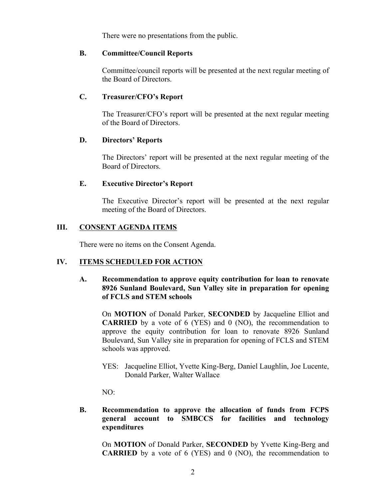There were no presentations from the public.

#### **B. Committee/Council Reports**

Committee/council reports will be presented at the next regular meeting of the Board of Directors.

## **C. Treasurer/CFO's Report**

The Treasurer/CFO's report will be presented at the next regular meeting of the Board of Directors.

#### **D. Directors' Reports**

The Directors' report will be presented at the next regular meeting of the Board of Directors.

## **E. Executive Director's Report**

The Executive Director's report will be presented at the next regular meeting of the Board of Directors.

## **III. CONSENT AGENDA ITEMS**

There were no items on the Consent Agenda.

# **IV. ITEMS SCHEDULED FOR ACTION**

## **A. Recommendation to approve equity contribution for loan to renovate 8926 Sunland Boulevard, Sun Valley site in preparation for opening of FCLS and STEM schools**

On **MOTION** of Donald Parker, **SECONDED** by Jacqueline Elliot and **CARRIED** by a vote of 6 (YES) and 0 (NO), the recommendation to approve the equity contribution for loan to renovate 8926 Sunland Boulevard, Sun Valley site in preparation for opening of FCLS and STEM schools was approved.

YES: Jacqueline Elliot, Yvette King-Berg, Daniel Laughlin, Joe Lucente, Donald Parker, Walter Wallace

NO:

# **B. Recommendation to approve the allocation of funds from FCPS general account to SMBCCS for facilities and technology expenditures**

On **MOTION** of Donald Parker, **SECONDED** by Yvette King-Berg and **CARRIED** by a vote of 6 (YES) and 0 (NO), the recommendation to